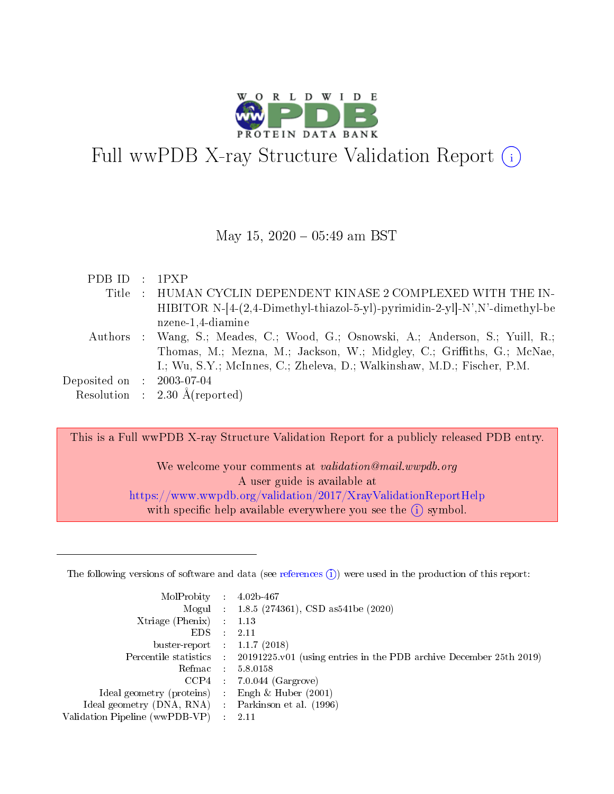

# Full wwPDB X-ray Structure Validation Report (i)

#### May 15,  $2020 - 05:49$  am BST

| PDBID : IPXP                |                                                                            |
|-----------------------------|----------------------------------------------------------------------------|
|                             | Title : HUMAN CYCLIN DEPENDENT KINASE 2 COMPLEXED WITH THE IN-             |
|                             | HIBITOR N-[4-(2,4-Dimethyl-thiazol-5-yl)-pyrimidin-2-yl]-N',N'-dimethyl-be |
|                             | nzene-1,4-diamine                                                          |
| Authors                     | : Wang, S.; Meades, C.; Wood, G.; Osnowski, A.; Anderson, S.; Yuill, R.;   |
|                             | Thomas, M.; Mezna, M.; Jackson, W.; Midgley, C.; Griffiths, G.; McNae,     |
|                             | I.; Wu, S.Y.; McInnes, C.; Zheleva, D.; Walkinshaw, M.D.; Fischer, P.M.    |
| Deposited on : $2003-07-04$ |                                                                            |
|                             | Resolution : $2.30 \text{ Å}$ (reported)                                   |

This is a Full wwPDB X-ray Structure Validation Report for a publicly released PDB entry.

We welcome your comments at validation@mail.wwpdb.org A user guide is available at <https://www.wwpdb.org/validation/2017/XrayValidationReportHelp> with specific help available everywhere you see the  $(i)$  symbol.

The following versions of software and data (see [references](https://www.wwpdb.org/validation/2017/XrayValidationReportHelp#references)  $(1)$ ) were used in the production of this report:

| MolProbity :                   |               | $4.02b - 467$                                                               |
|--------------------------------|---------------|-----------------------------------------------------------------------------|
|                                |               | Mogul : $1.8.5$ (274361), CSD as 541be (2020)                               |
| $X$ triage (Phenix) :          |               | 1.13                                                                        |
| EDS.                           |               | 2.11                                                                        |
| buster-report : $1.1.7$ (2018) |               |                                                                             |
| Percentile statistics :        |               | $20191225 \text{v}01$ (using entries in the PDB archive December 25th 2019) |
| Refmac :                       |               | 5.8.0158                                                                    |
| $CCP4$ :                       |               | $7.0.044$ (Gargrove)                                                        |
| Ideal geometry (proteins) :    |               | Engh $\&$ Huber (2001)                                                      |
| Ideal geometry (DNA, RNA) :    |               | Parkinson et al. (1996)                                                     |
| Validation Pipeline (wwPDB-VP) | $\mathcal{L}$ | 2.11                                                                        |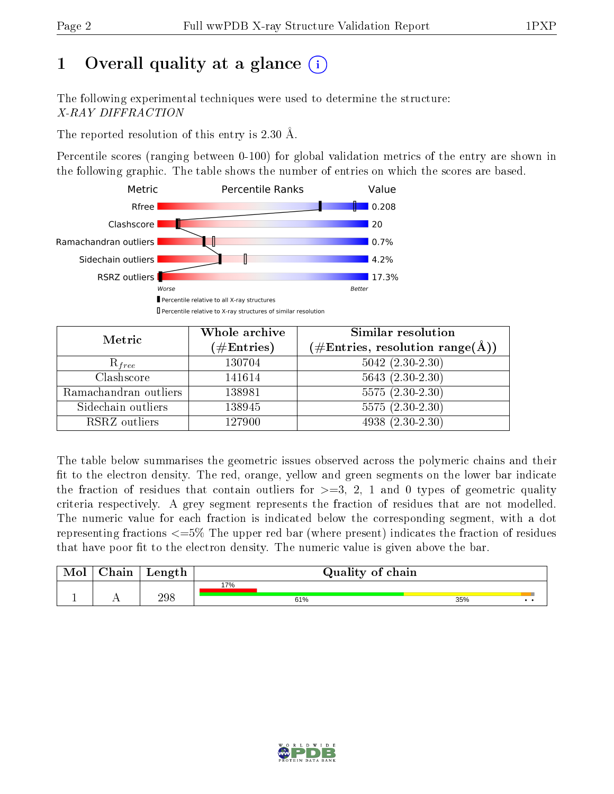# 1 [O](https://www.wwpdb.org/validation/2017/XrayValidationReportHelp#overall_quality)verall quality at a glance  $(i)$

The following experimental techniques were used to determine the structure: X-RAY DIFFRACTION

The reported resolution of this entry is 2.30 Å.

Percentile scores (ranging between 0-100) for global validation metrics of the entry are shown in the following graphic. The table shows the number of entries on which the scores are based.



| Metric                | Whole archive        | Similar resolution                                         |
|-----------------------|----------------------|------------------------------------------------------------|
|                       | $(\#\text{Entries})$ | $(\#\text{Entries}, \text{resolution range}(\text{\AA})\)$ |
| $R_{free}$            | 130704               | $5042 (2.30 - 2.30)$                                       |
| Clashscore            | 141614               | $5643$ $(2.30-2.30)$                                       |
| Ramachandran outliers | 138981               | $5575(2.30-2.30)$                                          |
| Sidechain outliers    | 138945               | $5575(2.30-2.30)$                                          |
| RSRZ outliers         | 127900               | $4938(2.30-2.30)$                                          |

The table below summarises the geometric issues observed across the polymeric chains and their fit to the electron density. The red, orange, yellow and green segments on the lower bar indicate the fraction of residues that contain outliers for  $>=3, 2, 1$  and 0 types of geometric quality criteria respectively. A grey segment represents the fraction of residues that are not modelled. The numeric value for each fraction is indicated below the corresponding segment, with a dot representing fractions  $\epsilon=5\%$  The upper red bar (where present) indicates the fraction of residues that have poor fit to the electron density. The numeric value is given above the bar.

| Mol      | Chain | Length |     | Quality of chain |     |     |
|----------|-------|--------|-----|------------------|-----|-----|
|          |       |        | 17% |                  |     |     |
| <b>.</b> | . .   | 298    |     | 61%              | 35% | . . |

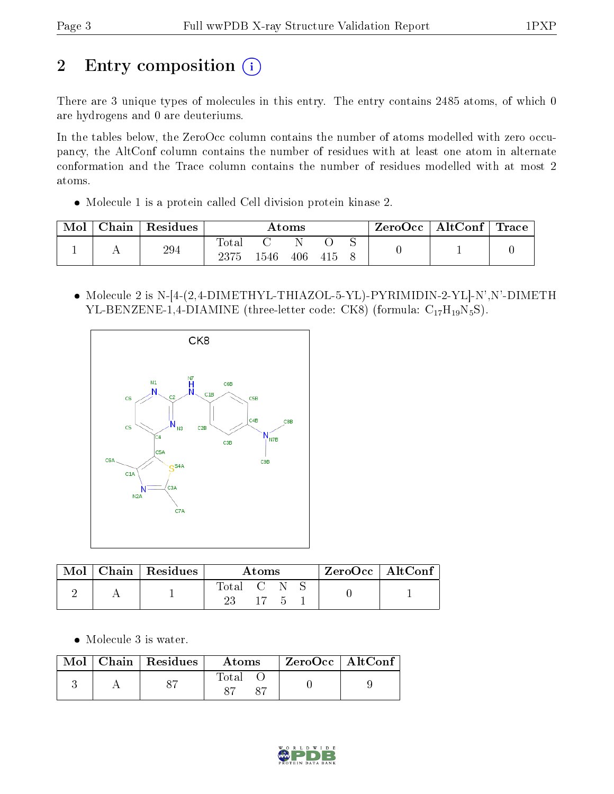# 2 Entry composition (i)

There are 3 unique types of molecules in this entry. The entry contains 2485 atoms, of which 0 are hydrogens and 0 are deuteriums.

In the tables below, the ZeroOcc column contains the number of atoms modelled with zero occupancy, the AltConf column contains the number of residues with at least one atom in alternate conformation and the Trace column contains the number of residues modelled with at most 2 atoms.

Molecule 1 is a protein called Cell division protein kinase 2.

| Mol | Chain | $^{\shortmid}$ Residues | Atoms |      |     | $\text{ZeroOcc} \mid \text{AltConf} \mid \text{Trace}$ |  |  |  |
|-----|-------|-------------------------|-------|------|-----|--------------------------------------------------------|--|--|--|
|     |       | 294                     | Total |      |     |                                                        |  |  |  |
|     |       |                         | 2375  | 1546 | 406 | 415                                                    |  |  |  |

• Molecule 2 is N-[4-(2,4-DIMETHYL-THIAZOL-5-YL)-PYRIMIDIN-2-YL]-N',N'-DIMETH YL-BENZENE-1,4-DIAMINE (three-letter code: CK8) (formula:  $C_{17}H_{19}N_5S$ ).



| Mol | $Chain   Residues$ | Atoms     |     |  |  | $\rm ZeroOcc$   $\rm AltConf$ |
|-----|--------------------|-----------|-----|--|--|-------------------------------|
|     |                    | Total C N | 17. |  |  |                               |

Molecule 3 is water.

| Mol | $\mid$ Chain $\mid$ Residues | Atoms          | $ZeroOcc$   AltConf |  |
|-----|------------------------------|----------------|---------------------|--|
|     |                              | $_{\rm Total}$ |                     |  |

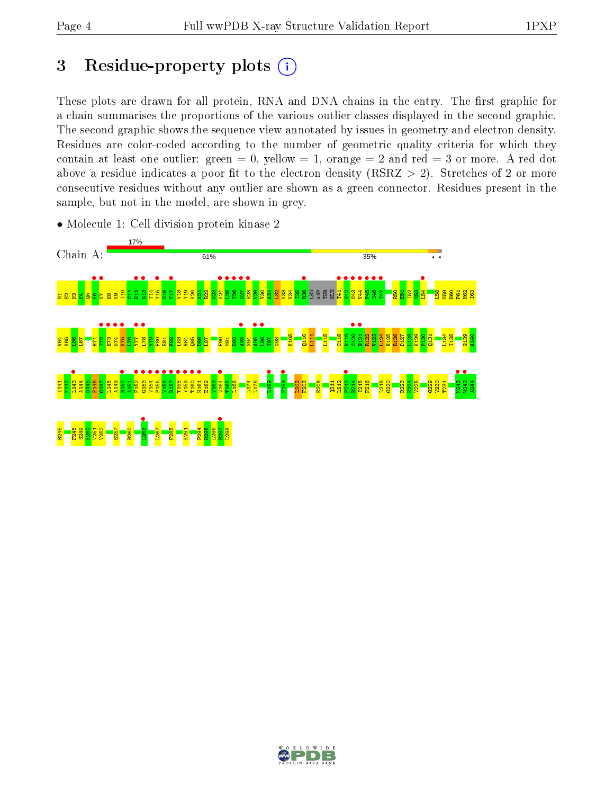## 3 Residue-property plots  $(i)$

These plots are drawn for all protein, RNA and DNA chains in the entry. The first graphic for a chain summarises the proportions of the various outlier classes displayed in the second graphic. The second graphic shows the sequence view annotated by issues in geometry and electron density. Residues are color-coded according to the number of geometric quality criteria for which they contain at least one outlier: green  $= 0$ , yellow  $= 1$ , orange  $= 2$  and red  $= 3$  or more. A red dot above a residue indicates a poor fit to the electron density (RSRZ  $> 2$ ). Stretches of 2 or more consecutive residues without any outlier are shown as a green connector. Residues present in the sample, but not in the model, are shown in grey.



• Molecule 1: Cell division protein kinase 2

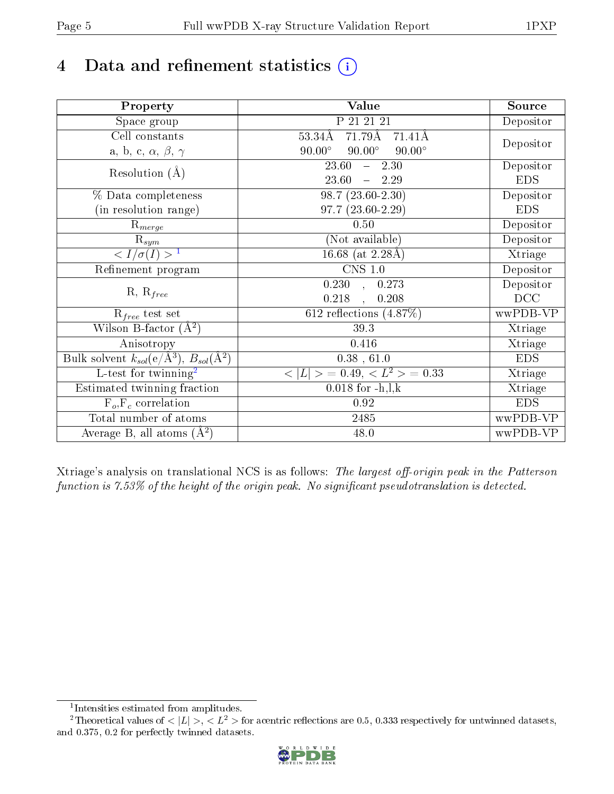# 4 Data and refinement statistics  $(i)$

| Property                                                             | <b>Value</b>                                     | Source     |
|----------------------------------------------------------------------|--------------------------------------------------|------------|
| Space group                                                          | P 21 21 21                                       | Depositor  |
| Cell constants                                                       | 71.79Å<br>$53.34\text{\AA}$<br>$71.41\text{\AA}$ |            |
| a, b, c, $\alpha$ , $\beta$ , $\gamma$                               | $90.00^\circ$<br>$90.00^\circ$<br>$90.00^\circ$  | Depositor  |
| Resolution $(A)$                                                     | 23.60<br>$-2.30$                                 | Depositor  |
|                                                                      | 23.60<br>$-2.29$                                 | <b>EDS</b> |
| % Data completeness                                                  | $98.7(23.60-2.30)$                               | Depositor  |
| (in resolution range)                                                | $97.7(23.60-2.29)$                               | <b>EDS</b> |
| $R_{merge}$                                                          | 0.50                                             | Depositor  |
| $\mathrm{R}_{sym}$                                                   | (Not available)                                  | Depositor  |
| $\langle I/\sigma(I) \rangle^{-1}$                                   | 16.68 (at $2.28\text{\AA}$ )                     | Xtriage    |
| Refinement program                                                   | $\overline{\text{CNS} 1.0}$                      | Depositor  |
| $R, R_{free}$                                                        | $\overline{0.230}$ ,<br>0.273                    | Depositor  |
|                                                                      | 0.218<br>0.208<br>$\ddot{\phantom{a}}$           | DCC        |
| $R_{free}$ test set                                                  | 612 reflections $(4.87\%)$                       | wwPDB-VP   |
| Wilson B-factor $(A^2)$                                              | 39.3                                             | Xtriage    |
| Anisotropy                                                           | $0.416\,$                                        | Xtriage    |
| Bulk solvent $k_{sol}(e/\mathring{A}^3)$ , $B_{sol}(\mathring{A}^2)$ | $0.38$ , 61.0                                    | <b>EDS</b> |
| L-test for twinning <sup>2</sup>                                     | $>$ = 0.49, < $L^2$ > = 0.33<br>< L              | Xtriage    |
| Estimated twinning fraction                                          | $0.018$ for $-h, l, k$                           | Xtriage    |
| $F_o, F_c$ correlation                                               | 0.92                                             | <b>EDS</b> |
| Total number of atoms                                                | 2485                                             | wwPDB-VP   |
| Average B, all atoms $(A^2)$                                         | 48.0                                             | wwPDB-VP   |

Xtriage's analysis on translational NCS is as follows: The largest off-origin peak in the Patterson function is  $7.53\%$  of the height of the origin peak. No significant pseudotranslation is detected.

<sup>&</sup>lt;sup>2</sup>Theoretical values of  $\langle |L| \rangle$ ,  $\langle L^2 \rangle$  for acentric reflections are 0.5, 0.333 respectively for untwinned datasets, and 0.375, 0.2 for perfectly twinned datasets.



<span id="page-4-1"></span><span id="page-4-0"></span><sup>1</sup> Intensities estimated from amplitudes.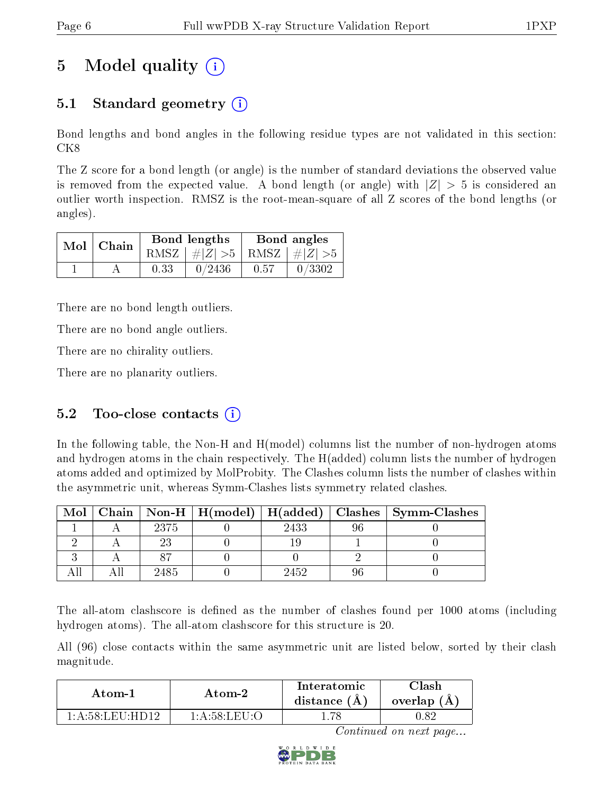# 5 Model quality  $(i)$

## 5.1 Standard geometry  $\overline{()}$

Bond lengths and bond angles in the following residue types are not validated in this section: CK8

The Z score for a bond length (or angle) is the number of standard deviations the observed value is removed from the expected value. A bond length (or angle) with  $|Z| > 5$  is considered an outlier worth inspection. RMSZ is the root-mean-square of all Z scores of the bond lengths (or angles).

|  | Mol   Chain |      | Bond lengths                    | Bond angles |        |  |
|--|-------------|------|---------------------------------|-------------|--------|--|
|  |             |      | RMSZ $ #Z  > 5$ RMSZ $ #Z  > 5$ |             |        |  |
|  |             | 0.33 | 0/2436                          | 0.57        | 0/3302 |  |

There are no bond length outliers.

There are no bond angle outliers.

There are no chirality outliers.

There are no planarity outliers.

### 5.2 Too-close contacts  $(i)$

In the following table, the Non-H and H(model) columns list the number of non-hydrogen atoms and hydrogen atoms in the chain respectively. The H(added) column lists the number of hydrogen atoms added and optimized by MolProbity. The Clashes column lists the number of clashes within the asymmetric unit, whereas Symm-Clashes lists symmetry related clashes.

| Mol |      |      | Chain   Non-H   H(model)   H(added)   Clashes   Symm-Clashes |
|-----|------|------|--------------------------------------------------------------|
|     | 2375 | 2433 |                                                              |
|     |      |      |                                                              |
|     |      |      |                                                              |
|     | 2485 | 2452 |                                                              |

The all-atom clashscore is defined as the number of clashes found per 1000 atoms (including hydrogen atoms). The all-atom clashscore for this structure is 20.

All (96) close contacts within the same asymmetric unit are listed below, sorted by their clash magnitude.

| Atom-1                            | Atom-2       | Interatomic<br>distance $(A)$ | ેlash<br>overlap $(A)$ |  |
|-----------------------------------|--------------|-------------------------------|------------------------|--|
| $+$ A $-$ 58 $+$ EII $+$ HD19 $-$ | 1 A 58 LEILO |                               |                        |  |

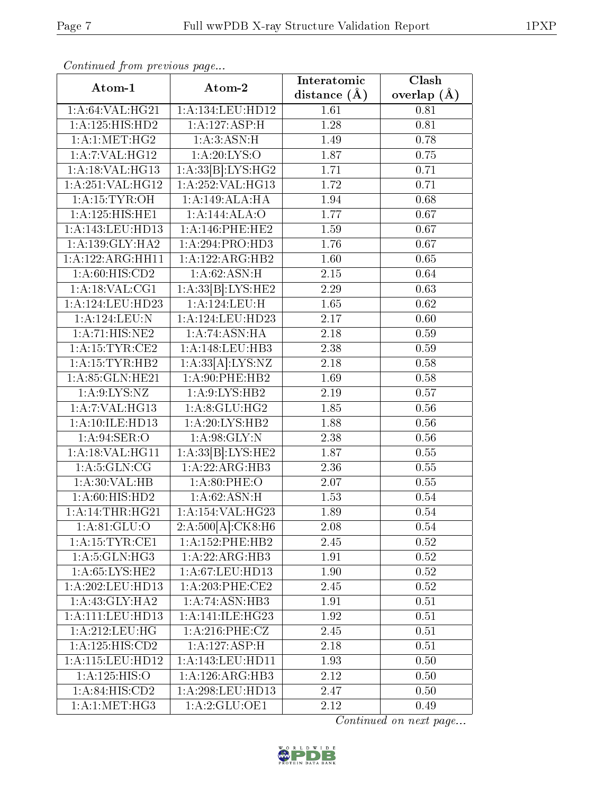| Commuca from previous page    |                     | Interatomic    | $\overline{\text{Clash}}$ |  |
|-------------------------------|---------------------|----------------|---------------------------|--|
| Atom-1                        | Atom-2              | distance $(A)$ | overlap $(\AA)$           |  |
| 1:A:64:VAL:HG21               | 1:A:134:LEU:HD12    | 1.61           | 0.81                      |  |
| 1: A: 125: HIS: HD2           | 1:A:127:ASP:H       | 1.28           | 0.81                      |  |
| 1: A:1: MET:HG2               | 1:A:3:ASN:H         | 1.49           | 0.78                      |  |
| 1:A:7:VAL:HG12                | 1: A:20: LYS:O      | 1.87           | 0.75                      |  |
| 1:A:18:VAL:HG13               | 1:A:33[B]:LYS:HG2   | 1.71           | 0.71                      |  |
| 1:A:251:VAL:HG12              | 1:A:252:VAL:HG13    | 1.72           | 0.71                      |  |
| 1:A:15:TYR:OH                 | 1:A:149:ALA:HA      | 1.94           | 0.68                      |  |
| 1:A:125:HIS:HEL               | 1:A:144:ALA:O       | 1.77           | 0.67                      |  |
| 1:A:143:LEU:HD13              | $1: A:146:$ PHE:HE2 | 1.59           | 0.67                      |  |
| 1: A: 139: GLY: HA2           | 1:A:294:PRO:HD3     | 1.76           | 0.67                      |  |
| 1:A:122:ARG:HH11              | 1:A:122:ARG:HB2     | 1.60           | 0.65                      |  |
| 1: A:60: HIS:CD2              | 1: A:62: ASN:H      | 2.15           | 0.64                      |  |
| 1:A:18:VAL:CG1                | 1:A:33[B]:LYS:HE2   | 2.29           | 0.63                      |  |
| 1:A:124:LEU:HD23              | 1:A:124:LEU:H       | 1.65           | 0.62                      |  |
| 1:A:124:LEU:N                 | 1:A:124:LEU:HD23    | 2.17           | 0.60                      |  |
| $1: A:71: \overline{HIS:NE2}$ | 1:A:74:ASN:HA       | 2.18           | 0.59                      |  |
| 1: A:15:TYR:CE2               | 1:A:148:LEU:HB3     | 2.38           | 0.59                      |  |
| 1: A: 15: TYR: HB2            | 1:A:33[A]:LYS:NZ    | 2.18           | 0.58                      |  |
| 1: A:85: GLN:HE21             | 1:A:90:PHE:HB2      | 1.69           | 0.58                      |  |
| 1: A:9: LYS: NZ               | 1: A:9: LYS: HB2    | 2.19           | 0.57                      |  |
| 1: A: 7: VAL: HG13            | 1: A:8: GLU: HG2    | 1.85           | 0.56                      |  |
| 1:A:10:ILE:HD13               | 1: A:20: LYS: HB2   | 1.88           | 0.56                      |  |
| 1:A:94:SER:O                  | 1: A:98: GLY:N      | 2.38           | 0.56                      |  |
| 1: A:18: VAL:HGI1             | 1:A:33[B]:LYS:HE2   | 1.87           | 0.55                      |  |
| 1: A: 5: GLN: CG              | 1:A:22:ARG:HB3      | 2.36           | 0.55                      |  |
| 1: A:30: VAL:HB               | 1: A:80:PHE:O       | 2.07           | $0.55\,$                  |  |
| 1:A:60:HIS:HD2                | 1:A:62:ASN:H        | 1.53           | 0.54                      |  |
| 1:A:14:THR:HG21               | 1:A:154:VAL:HG23    | 1.89           | 0.54                      |  |
| 1: A:81: GLU:O                | 2:A:500[A]:CK8:H6   | 2.08           | 0.54                      |  |
| 1:A:15:TYR:CE1                | 1:A:152:PHE:HB2     | 2.45           | $0.52\,$                  |  |
| 1: A:5: GLN: HG3              | 1:A:22:ARG:HB3      | 1.91           | 0.52                      |  |
| 1: A:65:LYS:HE2               | 1: A:67:LEU:HD13    | 1.90           | 0.52                      |  |
| 1: A:202:LEU:HD13             | 1: A:203:PHE:CE2    | 2.45           | 0.52                      |  |
| 1:A:43:GLY:HA2                | 1:A:74:ASN:HB3      | 1.91           | 0.51                      |  |
| 1: A: 111: LEU: HD13          | 1:A:141:ILE:HG23    | 1.92           | 0.51                      |  |
| 1:A:212:LEU:HG                | 1: A:216:PHE: CZ    | 2.45           | 0.51                      |  |
| 1:A:125:HIS:CD2               | 1:A:127:ASP:H       | 2.18           | 0.51                      |  |
| 1:A:115:LEU:HD12              | 1:A:143:LEU:HD11    | 1.93           | 0.50                      |  |
| 1:A:125:HIS:O                 | 1: A:126: ARG:HB3   | 2.12           | 0.50                      |  |
| 1:A:84:HIS:CD2                | 1:A:298:LEU:HD13    | 2.47           | 0.50                      |  |
| 1: A:1: MET:HG3               | 1:A:2:GLU:OE1       | 2.12           | 0.49                      |  |

Continued from previous page.

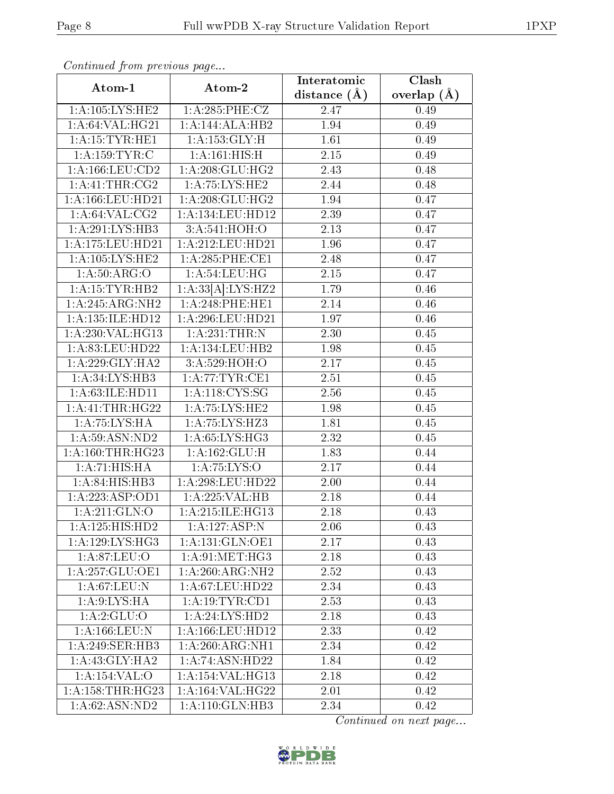| Continuea from previous page |                      | Interatomic       | Clash             |
|------------------------------|----------------------|-------------------|-------------------|
| Atom-1                       | Atom-2               | distance $(\AA)$  | overlap $(A)$     |
| 1: A: 105: LYS: HE2          | 1:A:285:PHE:CZ       | 2.47              | 0.49              |
| 1: A:64:VAL:HG21             | 1:A:144:ALA:HB2      | 1.94              | 0.49              |
| 1: A: 15: TYR: HE1           | 1: A: 153: GLY: H    | 1.61              | 0.49              |
| 1: A: 159: TYR: C            | 1:A:161:HIS:H        | 2.15              | 0.49              |
| 1: A: 166: LEU: CD2          | 1:A:208:GLU:HG2      | 2.43              | 0.48              |
| 1:A:41:THR:CG2               | 1: A: 75: LYS: HE2   | 2.44              | 0.48              |
| 1: A: 166: LEU: HD21         | 1:A:208:GLU:HG2      | 1.94              | 0.47              |
| 1: A:64:VAL: CG2             | 1:A:134:LEU:HD12     | 2.39              | 0.47              |
| 1: A:291:LYS:HB3             | 3:A:541:HOH:O        | 2.13              | 0.47              |
| 1:A:175:LEU:HD21             | 1:A:212:LEU:HD21     | 1.96              | 0.47              |
| 1:A:105:LYS:HE2              | 1:A:285:PHE:CE1      | 2.48              | 0.47              |
| 1: A:50: ARG:O               | 1: A:54:LEU:HG       | 2.15              | 0.47              |
| 1: A: 15: TYR: HB2           | 1:A:33[A]:LYS:HZ2    | 1.79              | 0.46              |
| 1:A:245:ARG:NH2              | 1:A:248:PHE:HE1      | 2.14              | $\overline{0.46}$ |
| 1: A: 135: ILE: HD12         | 1:A:296:LEU:HD21     | 1.97              | 0.46              |
| 1:A:230:VAL:HG13             | 1:A:231:THR:N        | 2.30              | 0.45              |
| 1:A:83:LEU:HD22              | 1:A:134:LEU:HB2      | 1.98              | $0.45\,$          |
| 1: A:229: GLY:HA2            | 3: A:529:HOH:O       | 2.17              | 0.45              |
| 1: A:34: LYS:HB3             | 1: A:77:TYR:CE1      | $\overline{2.51}$ | $0.45\,$          |
| 1:A:63:ILE:HD11              | 1: A:118: CYS:SG     | 2.56              | 0.45              |
| 1:A:41:THR:HG22              | 1:A:75:LYS:HE2       | 1.98              | 0.45              |
| 1:A:75:LYS:HA                | 1:A:75:LYS:HZ3       | 1.81              | 0.45              |
| 1: A:59: ASN: ND2            | 1:A:65:LYS:HG3       | 2.32              | 0.45              |
| 1: A: 160: THR: HG23         | 1: A: 162: GLU: H    | 1.83              | 0.44              |
| 1:A:71:HIS:HA                | 1: A: 75: LYS: O     | 2.17              | 0.44              |
| 1:A:84:HIS:HB3               | 1:A:298:LEU:HD22     | 2.00              | 0.44              |
| 1:A:223:ASP:OD1              | 1:A:225:VAL:HB       | 2.18              | 0.44              |
| 1: A:211: GLN:O              | 1:A:215:ILE:HG13     | 2.18              | 0.43              |
| 1:A:125:HIS:HD2              | 1:A:127:ASP:N        | 2.06              | 0.43              |
| 1:A:129:LYS:HG3              | 1: A:131: GLN:OE1    | 2.17              | 0.43              |
| 1:A:87:LEU:O                 | 1: A:91: MET:HG3     | 2.18              | 0.43              |
| 1:A:257:GLU:OE1              | 1:A:260:ARG:NH2      | 2.52              | 0.43              |
| 1:A:67:LEU:N                 | 1: A:67:LEU:HD22     | 2.34              | 0.43              |
| 1: A:9: LYS: HA              | 1: A:19:TYR:CD1      | 2.53              | 0.43              |
| 1: A:2: GLU:O                | 1: A:24: LYS:HD2     | 2.18              | 0.43              |
| $1:$ A:166:LEU:N             | 1: A: 166: LEU: HD12 | 2.33              | 0.42              |
| 1: A:249: SER: HB3           | 1:A:260:ARG:NH1      | 2.34              | 0.42              |
| 1: A:43: GLY: HA2            | 1: A:74: ASN:HD22    | 1.84              | 0.42              |
| 1:A:154:VAL:O                | 1: A:154: VAL:HG13   | 2.18              | 0.42              |
| 1: A: 158: THR: HG23         | 1:A:164:VAL:HG22     | 2.01              | 0.42              |
| 1:A:62:ASN:ND2               | 1: A:110: GLN:HB3    | 2.34              | 0.42              |

Continued from previous page.

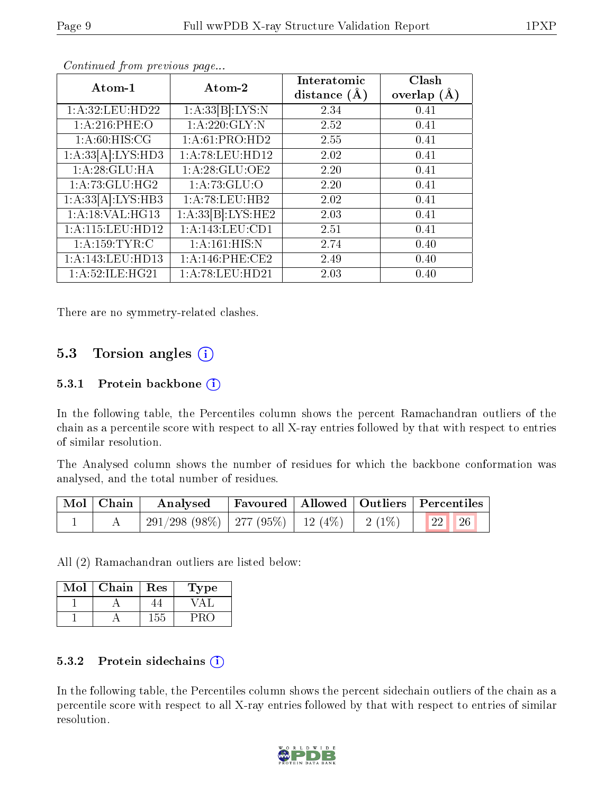| Atom-1              | Atom-2             | Interatomic<br>distance $(A)$ | Clash<br>overlap $(A)$ |
|---------------------|--------------------|-------------------------------|------------------------|
| 1: A:32: LEU: HD22  | 1:A:33[B]:LYS:N    | 2.34                          | 0.41                   |
| 1: A:216: PHE:O     | 1: A:220: GLY:N    | 2.52                          | 0.41                   |
| 1: A:60: HIS: CG    | 1: A:61: PRO:HD2   | 2.55                          | 0.41                   |
| 1:A:33[A]:LYS:HD3   | 1: A:78: LEU: HD12 | 2.02                          | 0.41                   |
| 1:A:28:GLU:HA       | 1: A:28: GLU:OE2   | 2.20                          | 0.41                   |
| 1: A:73: GLU: HG2   | 1: A:73: GLU:O     | 2.20                          | 0.41                   |
| 1:A:33[A]:LYS:HB3   | 1:A:78:LEU:HB2     | 2.02                          | 0.41                   |
| 1:A:18:VAL:HG13     | 1:A:33[B]:LYS:HE2  | 2.03                          | 0.41                   |
| 1: A:115: LEU: HD12 | 1: A:143:LEU:CD1   | 2.51                          | 0.41                   |
| 1: A: 159: TYR: C   | 1: A:161: HIS:N    | 2.74                          | 0.40                   |
| 1: A:143: LEU: HD13 | 1: A:146: PHE:CE2  | 2.49                          | 0.40                   |
| 1: A:52: ILE: HG21  | 1:A:78:LEU:HD21    | 2.03                          | 0.40                   |

Continued from previous page...

There are no symmetry-related clashes.

### 5.3 Torsion angles  $(i)$

#### 5.3.1 Protein backbone  $(i)$

In the following table, the Percentiles column shows the percent Ramachandran outliers of the chain as a percentile score with respect to all X-ray entries followed by that with respect to entries of similar resolution.

The Analysed column shows the number of residues for which the backbone conformation was analysed, and the total number of residues.

| $\mid$ Mol $\mid$ Chain $\mid$ |                                                                                      |  |  | Analysed Favoured   Allowed   Outliers   Percentiles |  |
|--------------------------------|--------------------------------------------------------------------------------------|--|--|------------------------------------------------------|--|
|                                | $^+$ 291/298 (98%) $\mid$ 277 (95%) $\mid$ 12 (4%) $\mid$ 2 (1%) $\mid$ 22 26 $\mid$ |  |  |                                                      |  |

All (2) Ramachandran outliers are listed below:

| Mol | Chain | Res | l'ype |
|-----|-------|-----|-------|
|     |       |     |       |
|     |       | -55 |       |

#### 5.3.2 Protein sidechains  $(i)$

In the following table, the Percentiles column shows the percent sidechain outliers of the chain as a percentile score with respect to all X-ray entries followed by that with respect to entries of similar resolution.

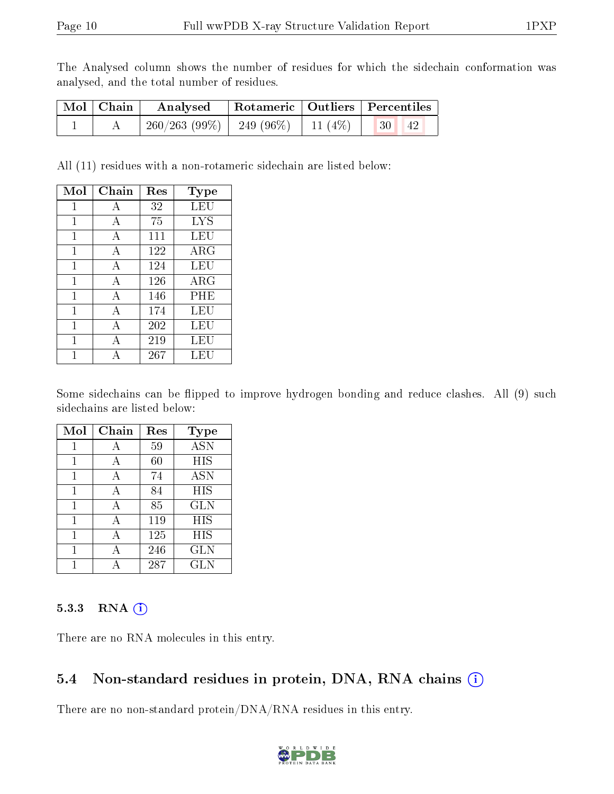The Analysed column shows the number of residues for which the sidechain conformation was analysed, and the total number of residues.

| Mol   Chain | Analysed                                 |  | Rotameric   Outliers   Percentiles |  |
|-------------|------------------------------------------|--|------------------------------------|--|
|             | $260/263$ (99\%)   249 (96\%)   11 (4\%) |  | 30 <br>  42                        |  |

All (11) residues with a non-rotameric sidechain are listed below:

| Mol | Chain | Res | Type       |
|-----|-------|-----|------------|
| 1   | А     | 32  | LEU        |
| 1   | А     | 75  | LYS        |
| 1   | А     | 111 | LEU        |
| 1   | А     | 122 | ARG        |
| 1   | А     | 124 | LEU        |
| 1   | А     | 126 | $\rm{ARG}$ |
| 1   | А     | 146 | PHE        |
| 1   | A     | 174 | LEU        |
| 1   | A     | 202 | LEU        |
| 1   | А     | 219 | LEU        |
|     |       | 267 | LEU        |

Some sidechains can be flipped to improve hydrogen bonding and reduce clashes. All (9) such sidechains are listed below:

| Mol | Chain | Res | Type              |
|-----|-------|-----|-------------------|
| 1   | А     | 59  | $\overline{A}$ SN |
| 1   | А     | 60  | HIS               |
| 1   | А     | 74  | <b>ASN</b>        |
| 1   | А     | 84  | HIS               |
| 1   | А     | 85  | <b>GLN</b>        |
| 1   | А     | 119 | HIS               |
| 1   | А     | 125 | HIS               |
| 1   | А     | 246 | <b>GLN</b>        |
|     |       | 287 | GLN               |

#### 5.3.3 RNA (i)

There are no RNA molecules in this entry.

#### 5.4 Non-standard residues in protein, DNA, RNA chains  $(i)$

There are no non-standard protein/DNA/RNA residues in this entry.

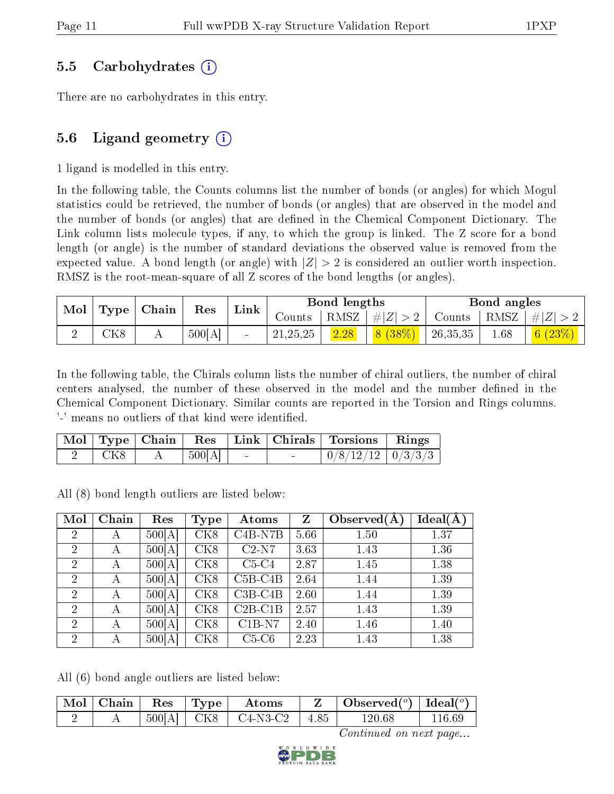#### 5.5 Carbohydrates (i)

There are no carbohydrates in this entry.

### 5.6 Ligand geometry  $(i)$

1 ligand is modelled in this entry.

In the following table, the Counts columns list the number of bonds (or angles) for which Mogul statistics could be retrieved, the number of bonds (or angles) that are observed in the model and the number of bonds (or angles) that are defined in the Chemical Component Dictionary. The Link column lists molecule types, if any, to which the group is linked. The Z score for a bond length (or angle) is the number of standard deviations the observed value is removed from the expected value. A bond length (or angle) with  $|Z| > 2$  is considered an outlier worth inspection. RMSZ is the root-mean-square of all Z scores of the bond lengths (or angles).

| Mol | $\vert$ Type $\vert$ | Chain | Res    | Link |            | Bond lengths |                 |               | Bond angles |              |
|-----|----------------------|-------|--------|------|------------|--------------|-----------------|---------------|-------------|--------------|
|     |                      |       |        |      | Counts –   |              | RMSZ $ #Z  > 2$ | Counts   RMSZ |             | $+  Z   > 0$ |
|     | CK8                  | А     | 500[A] |      | 21, 25, 25 | 2.28         | 8(38%)          | 26,35,35      | 1.68        | 6 $(23\%)$   |

In the following table, the Chirals column lists the number of chiral outliers, the number of chiral centers analysed, the number of these observed in the model and the number defined in the Chemical Component Dictionary. Similar counts are reported in the Torsion and Rings columns. '-' means no outliers of that kind were identified.

|     |        |                          | Mol   Type   Chain   Res   Link   Chirals   Torsions   Rings |  |
|-----|--------|--------------------------|--------------------------------------------------------------|--|
| CK8 | 500[A] | <b>Contract Contract</b> | $0/8/12/12$   $0/3/3/3$                                      |  |

All (8) bond length outliers are listed below:

| Mol            | Chain | Res    | <b>Type</b>     | Atoms      | Z    | Observed $(A)$ | Ideal(A) |
|----------------|-------|--------|-----------------|------------|------|----------------|----------|
| $\overline{2}$ | А     | 500[A] | CK <sub>8</sub> | $C4B- N7B$ | 5.66 | 1.50           | 1.37     |
| $\overline{2}$ | А     | 500[A] | CK <sub>8</sub> | $C2-N7$    | 3.63 | 1.43           | 1.36     |
| $\overline{2}$ | А     | 500[A] | CK8             | $C5-C4$    | 2.87 | 1.45           | 1.38     |
| $\overline{2}$ | А     | 500[A] | CK8             | $C5B-C4B$  | 2.64 | 1.44           | 1.39     |
| $\overline{2}$ | А     | 500[A] | CK8             | $C3B-C4B$  | 2.60 | 1.44           | 1.39     |
| $\overline{2}$ | А     | 500[A] | CK <sub>8</sub> | $C2B-C1B$  | 2.57 | 1.43           | 1.39     |
| $\overline{2}$ | А     | 500[A] | CK8             | $C1B-N7$   | 2.40 | 1.46           | 1.40     |
| $\overline{2}$ | А     | 500[A] | CK8             | $C5-C6$    | 2.23 | 1.43           | 1.38     |

All (6) bond angle outliers are listed below:

| $\mid$ Mol $\mid$ | Chain | Res          | 'Type | Atoms      |      | $\vert$ Observed $\vert$ <sup>o</sup> )   Ideal $\vert$ <sup>o</sup> ) |            |
|-------------------|-------|--------------|-------|------------|------|------------------------------------------------------------------------|------------|
|                   |       | $500[A]$ CK8 |       | - C4-N3-C2 | 4.85 | 120.68                                                                 | $116.69\,$ |

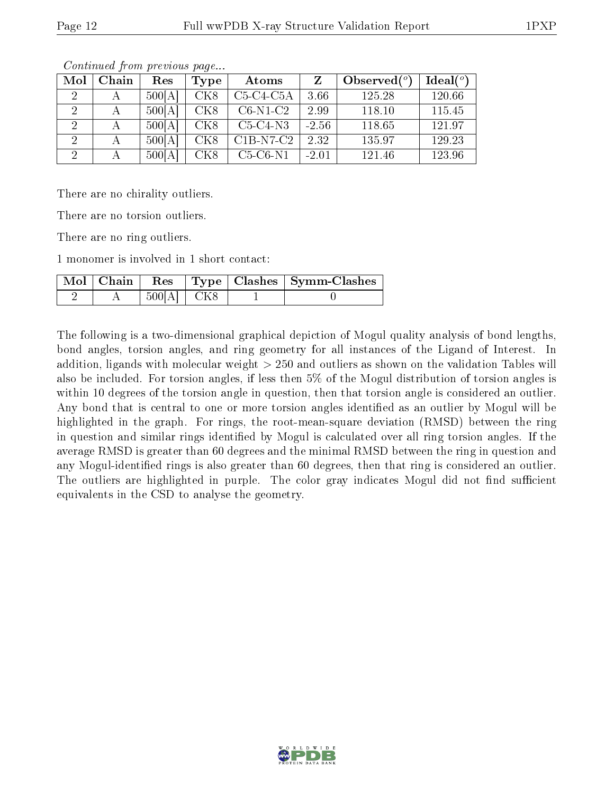| Mol | Chain | Res    | Type            | Atoms       |         | Observed $(°)$ | Ideal $(°)$ |
|-----|-------|--------|-----------------|-------------|---------|----------------|-------------|
|     |       | 500[A] | CK <sub>8</sub> | $C5-C4-C5A$ | 3.66    | 125.28         | 120.66      |
|     |       | 500[A] | CK <sub>8</sub> | $C6-N1-C2$  | 2.99    | 118.10         | 115.45      |
|     |       | 500[A] | CK <sub>8</sub> | $C5-C4-N3$  | $-2.56$ | 118.65         | 121.97      |
|     |       | 500[A] | CK <sub>8</sub> | $C1B-N7-C2$ | 2.32    | 135.97         | 129.23      |
|     |       | 500[A] | CK <sub>8</sub> | $C5-C6-N1$  | $-2.01$ | 121.46         | 123.96      |

Continued from previous page...

There are no chirality outliers.

There are no torsion outliers.

There are no ring outliers.

1 monomer is involved in 1 short contact:

|  |                      |  | Mol   Chain   Res   Type   Clashes   Symm-Clashes |
|--|----------------------|--|---------------------------------------------------|
|  | $+500[A]$ $\mid$ CK8 |  |                                                   |

The following is a two-dimensional graphical depiction of Mogul quality analysis of bond lengths, bond angles, torsion angles, and ring geometry for all instances of the Ligand of Interest. In addition, ligands with molecular weight > 250 and outliers as shown on the validation Tables will also be included. For torsion angles, if less then 5% of the Mogul distribution of torsion angles is within 10 degrees of the torsion angle in question, then that torsion angle is considered an outlier. Any bond that is central to one or more torsion angles identified as an outlier by Mogul will be highlighted in the graph. For rings, the root-mean-square deviation (RMSD) between the ring in question and similar rings identified by Mogul is calculated over all ring torsion angles. If the average RMSD is greater than 60 degrees and the minimal RMSD between the ring in question and any Mogul-identified rings is also greater than 60 degrees, then that ring is considered an outlier. The outliers are highlighted in purple. The color gray indicates Mogul did not find sufficient equivalents in the CSD to analyse the geometry.

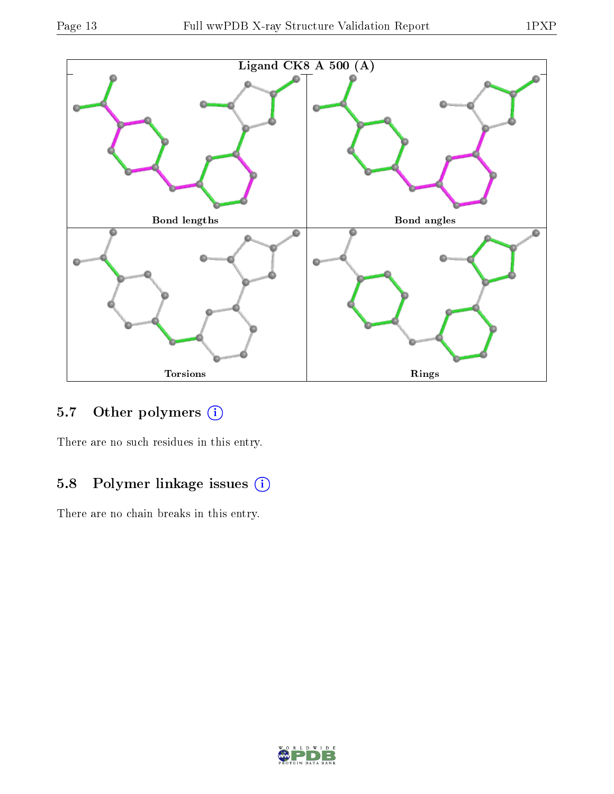



## 5.7 [O](https://www.wwpdb.org/validation/2017/XrayValidationReportHelp#nonstandard_residues_and_ligands)ther polymers (i)

There are no such residues in this entry.

## 5.8 Polymer linkage issues (i)

There are no chain breaks in this entry.

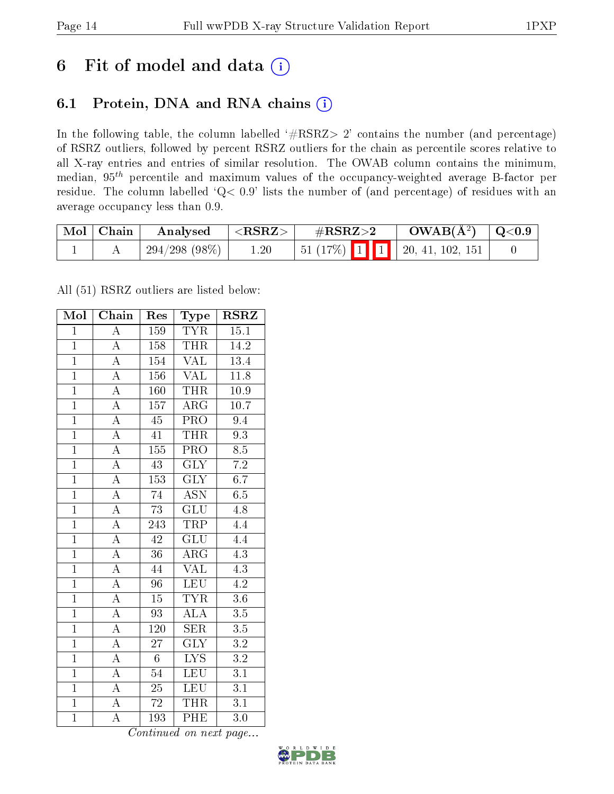## 6 Fit of model and data  $(i)$

### 6.1 Protein, DNA and RNA chains  $(i)$

In the following table, the column labelled  $#RSRZ> 2'$  contains the number (and percentage) of RSRZ outliers, followed by percent RSRZ outliers for the chain as percentile scores relative to all X-ray entries and entries of similar resolution. The OWAB column contains the minimum, median,  $95<sup>th</sup>$  percentile and maximum values of the occupancy-weighted average B-factor per residue. The column labelled ' $Q< 0.9$ ' lists the number of (and percentage) of residues with an average occupancy less than 0.9.

| $\mid$ Mol $\mid$ Chain | Analysed        | $^+$ <rsrz> <math>^-</math></rsrz> | $\rm \#RSRZ{>}2$                       | $\rm OWAB(\AA^2)$   Q<0.9 |  |
|-------------------------|-----------------|------------------------------------|----------------------------------------|---------------------------|--|
|                         | $294/298(98\%)$ | 1.20                               | $\boxed{51(17\%)$ 1 1 20, 41, 102, 151 |                           |  |

All (51) RSRZ outliers are listed below:

| Mol            | Chain              | Res             | Type                      | $\rm \bf RSRZ$    |
|----------------|--------------------|-----------------|---------------------------|-------------------|
| $\mathbf{1}$   | $\overline{\rm A}$ | 159             | <b>TYR</b>                | 15.1              |
| $\mathbf{1}$   | $\overline{\rm A}$ | 158             | <b>THR</b>                | 14.2              |
| $\overline{1}$ | $\overline{\rm A}$ | 154             | VAL                       | 13.4              |
| $\overline{1}$ | $\overline{\rm A}$ | 156             | <b>VAL</b>                | 11.8              |
| $\overline{1}$ | $\overline{A}$     | 160             | <b>THR</b>                | $\overline{10.9}$ |
| $\overline{1}$ | $\overline{\rm A}$ | 157             | $\rm{ARG}$                | $10.7\,$          |
| $\overline{1}$ | $\overline{\rm A}$ | $\overline{45}$ | $\overline{\text{PRO}}$   | $\overline{9.4}$  |
| $\overline{1}$ | $\overline{A}$     | 41              | <b>THR</b>                | $\overline{9.3}$  |
| $\overline{1}$ | $\overline{\rm A}$ | 155             | $\overline{\text{PRO}}$   | $\overline{8.5}$  |
| $\overline{1}$ | $\overline{A}$     | $\overline{43}$ | $\overline{\text{GLY}}$   | $\overline{7.2}$  |
| $\overline{1}$ | $\overline{\rm A}$ | 153             | $\overline{\text{GLY}}$   | $\overline{6.7}$  |
| $\overline{1}$ | $\overline{A}$     | $\overline{74}$ | $\overline{\mathrm{ASN}}$ | $\overline{6.5}$  |
| $\overline{1}$ | $\overline{A}$     | 73              | $\overline{\text{GLU}}$   | 4.8               |
| $\overline{1}$ | $\overline{A}$     | 243             | <b>TRP</b>                | 4.4               |
| $\overline{1}$ | $\overline{A}$     | 42              | $\overline{\text{GLU}}$   | $\overline{4.4}$  |
| $\overline{1}$ | $\overline{A}$     | $\overline{36}$ | $\rm{ARG}$                | 4.3               |
| $\overline{1}$ | $\overline{A}$     | 44              | $\overline{\text{VAL}}$   | $\overline{4.3}$  |
| $\overline{1}$ | $\overline{\rm A}$ | 96              | <b>LEU</b>                | 4.2               |
| $\mathbf{1}$   | $\overline{A}$     | $\overline{15}$ | <b>TYR</b>                | $3.6\,$           |
| $\overline{1}$ | $\overline{A}$     | 93              | $\overline{\rm ALA}$      | 3.5               |
| $\overline{1}$ | $\overline{\rm A}$ | 120             | <b>SER</b>                | $3.5\,$           |
| $\overline{1}$ | $\overline{A}$     | $\overline{27}$ | $\overline{\text{GLY}}$   | $\overline{3.2}$  |
| $\overline{1}$ | $\boldsymbol{A}$   | $6\phantom{.}$  | <b>LYS</b>                | $\overline{3.2}$  |
| $\overline{1}$ | $\overline{\rm A}$ | $54\,$          | <b>LEU</b>                | $\overline{3.1}$  |
| $\overline{1}$ | $\overline{A}$     | $\overline{25}$ | <b>LEU</b>                | $\overline{3.1}$  |
| $\overline{1}$ | $\overline{\rm A}$ | $\overline{72}$ | <b>THR</b>                | $\overline{3.1}$  |
| $\overline{1}$ | $\overline{\rm A}$ | 193             | PHE                       | $\overline{3.0}$  |

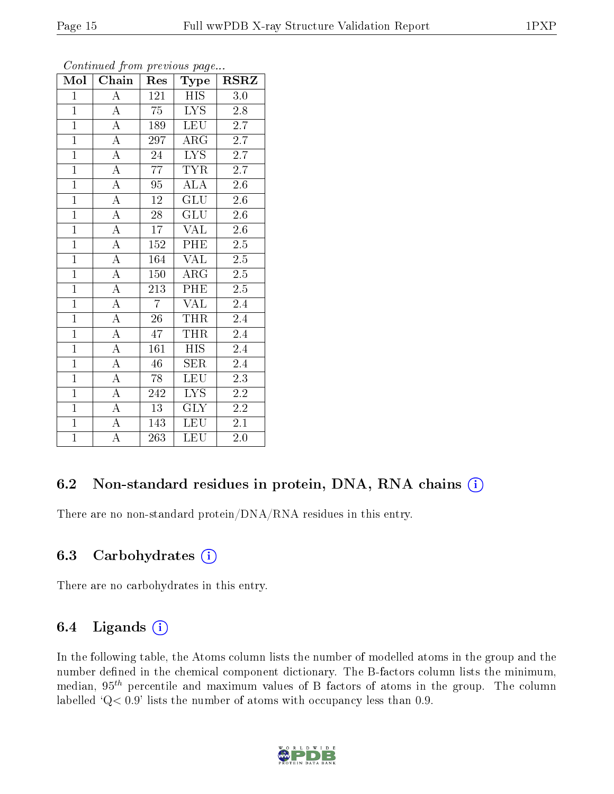| Mol            | Chain              |                 | Type                    | <b>RSRZ</b>      |
|----------------|--------------------|-----------------|-------------------------|------------------|
| $\,1$          | $\boldsymbol{A}$   | 121             | <b>HIS</b>              | 3.0              |
| $\mathbf{1}$   | А                  | 75              | LYS.                    | 2.8              |
| $\overline{1}$ | $\overline{A}$     | 189             | <b>LEU</b>              | $\overline{2.7}$ |
| $\overline{1}$ | $\overline{\rm A}$ | 297             | $\rm{ARG}$              | 2.7              |
| $\overline{1}$ | $\overline{\rm A}$ | 24              | $\overline{\text{LYS}}$ | $\overline{2.7}$ |
| $\overline{1}$ | $\overline{\rm A}$ | 77              | <b>TYR</b>              | 2.7              |
| $\overline{1}$ | $\overline{\rm A}$ | 95              | <b>ALA</b>              | 2.6              |
| $\overline{1}$ | $\overline{A}$     | 12              | GLU                     | 2.6              |
| $\overline{1}$ | $\overline{\rm A}$ | 28              | $GL\overline{U}$        | 2.6              |
| $\overline{1}$ | $\overline{A}$     | $\overline{17}$ | <b>VAL</b>              | $2.6\,$          |
| $\mathbf{1}$   | $\overline{\rm A}$ | 152             | PHE                     | 2.5              |
| $\overline{1}$ | $\overline{\rm A}$ | 164             | $\overline{\text{VAL}}$ | $\overline{2.5}$ |
| $\overline{1}$ | $\overline{A}$     | 150             | $\rm{ARG}$              | 2.5              |
| $\overline{1}$ | $\overline{A}$     | 213             | PHE                     | $2.\overline{5}$ |
| $\overline{1}$ | $\overline{\rm A}$ | $\overline{7}$  | VAL                     | 2.4              |
| $\overline{1}$ | $\boldsymbol{A}$   | 26              | THR                     | 2.4              |
| $\overline{1}$ | $\overline{\rm A}$ | 47              | <b>THR</b>              | 2.4              |
| $\overline{1}$ | $\overline{A}$     | 161             | <b>HIS</b>              | 2.4              |
| $\overline{1}$ | $\overline{\rm A}$ | 46              | SER                     | 2.4              |
| $\overline{1}$ | $\overline{\rm A}$ | 78              | <b>LEU</b>              | $\overline{2.3}$ |
| $\overline{1}$ | $\overline{\rm A}$ | 242             | $\overline{LYS}$        | $\overline{2.2}$ |
| $\overline{1}$ | $\overline{A}$     | $\overline{13}$ | $\overline{\text{GLY}}$ | $\overline{2.2}$ |
| $\overline{1}$ | $\overline{A}$     | 143             | <b>LEU</b>              | 2.1              |
| $\overline{1}$ | А                  | 263             | <b>LEU</b>              | $2.0\,$          |

Continued from previous page

### 6.2 Non-standard residues in protein, DNA, RNA chains  $(i)$

There are no non-standard protein/DNA/RNA residues in this entry.

#### 6.3 Carbohydrates  $(i)$

There are no carbohydrates in this entry.

#### 6.4 Ligands  $(i)$

In the following table, the Atoms column lists the number of modelled atoms in the group and the number defined in the chemical component dictionary. The B-factors column lists the minimum, median,  $95<sup>th</sup>$  percentile and maximum values of B factors of atoms in the group. The column labelled  $Q< 0.9$ ' lists the number of atoms with occupancy less than 0.9.